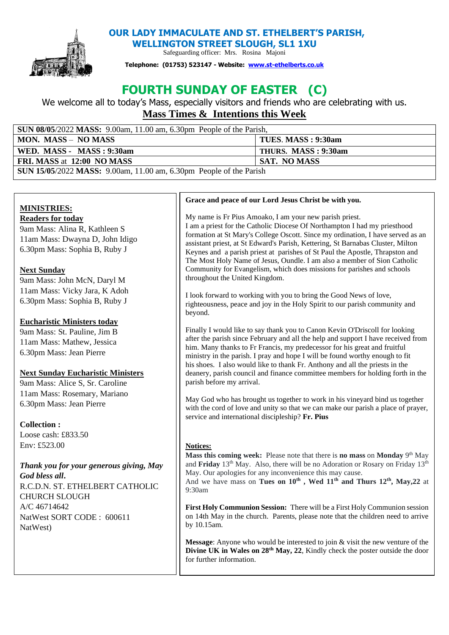

**OUR LADY IMMACULATE AND ST. ETHELBERT'S PARISH,** 

**WELLINGTON STREET SLOUGH, SL1 1XU**  Safeguarding officer: Mrs. Rosina Majoni

**Telephone: (01753) 523147 - Website: [www.st-ethelberts.co.uk](about:blank)**

# **FOURTH SUNDAY OF EASTER (C)**

We welcome all to today's Mass, especially visitors and friends who are celebrating with us. **Mass Times & Intentions this Week** 

| SUN 08/05/2022 MASS: 9.00am, 11.00 am, 6.30pm People of the Parish, |                     |
|---------------------------------------------------------------------|---------------------|
| <b>MON. MASS - NO MASS</b>                                          | TUES. MASS : 9:30am |
| WED. MASS - MASS : 9:30am                                           | THURS. MASS: 9:30am |
| FRI. MASS at 12:00 NO MASS                                          | <b>SAT. NO MASS</b> |
| SUN 15/05/2022 MASS: 9.00am, 11.00 am, 6.30pm People of the Parish  |                     |

## **MINISTRIES: Readers for today**

9am Mass: Alina R, Kathleen S 11am Mass: Dwayna D, John Idigo 6.30pm Mass: Sophia B, Ruby J

# **Next Sunday**

9am Mass: John McN, Daryl M 11am Mass: Vicky Jara, K Adoh 6.30pm Mass: Sophia B, Ruby J

# **Eucharistic Ministers today**

9am Mass: St. Pauline, Jim B 11am Mass: Mathew, Jessica 6.30pm Mass: Jean Pierre

# **Next Sunday Eucharistic Ministers**

9am Mass: Alice S, Sr. Caroline 11am Mass: Rosemary, Mariano 6.30pm Mass: Jean Pierre

## **Collection :**

Loose cash:  $f833.50$ Env: £523.00

## *Thank you for your generous giving, May God bless all***.**

R.C.D.N. ST. ETHELBERT CATHOLIC CHURCH SLOUGH A/C 46714642 NatWest SORT CODE : 600611 NatWest)

#### **Grace and peace of our Lord Jesus Christ be with you.**

My name is Fr Pius Amoako, I am your new parish priest. I am a priest for the Catholic Diocese Of Northampton I had my priesthood formation at St Mary's College Oscott. Since my ordination, I have served as an assistant priest, at St Edward's Parish, Kettering, St Barnabas Cluster, Milton Keynes and a parish priest at parishes of St Paul the Apostle, Thrapston and The Most Holy Name of Jesus, Oundle. I am also a member of Sion Catholic Community for Evangelism, which does missions for parishes and schools throughout the United Kingdom.

I look forward to working with you to bring the Good News of love, righteousness, peace and joy in the Holy Spirit to our parish community and beyond.

Finally I would like to say thank you to Canon Kevin O'Driscoll for looking after the parish since February and all the help and support I have received from him. Many thanks to Fr Francis, my predecessor for his great and fruitful ministry in the parish. I pray and hope I will be found worthy enough to fit his shoes. I also would like to thank Fr. Anthony and all the priests in the deanery, parish council and finance committee members for holding forth in the parish before my arrival.

May God who has brought us together to work in his vineyard bind us together with the cord of love and unity so that we can make our parish a place of prayer, service and international discipleship? **Fr. Pius**

#### **Notices:**

Mass this coming week: Please note that there is no mass on Monday 9<sup>th</sup> May and **Friday** 13<sup>th</sup> May. Also, there will be no Adoration or Rosary on Friday 13<sup>th</sup> May. Our apologies for any inconvenience this may cause. And we have mass on **Tues on 10th , Wed 11th and Thurs 12th, May,22** at 9:30am

**First Holy Communion Session:** There will be a First Holy Communion session on 14th May in the church. Parents, please note that the children need to arrive by 10.15am.

**Message**: Anyone who would be interested to join & visit the new venture of the **Divine UK in Wales on 28th May, 22**, Kindly check the poster outside the door for further information.